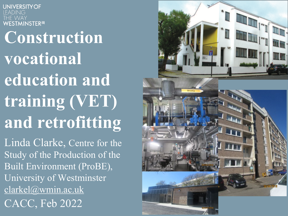**UNIVERSITY OF STMINSTER<sup>#</sup> Construction vocational [education a](mailto:clarkel@wmin.ac.uk)nd training (VET) and retrofitting**  Linda Clarke, Centre for the

Study of the Production of the Built Environment (ProBE), University of Westminster clarkel@wmin.ac.uk CACC, Feb 2022

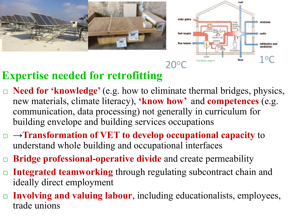



# **Expertise needed for retrofitting**

- □ **Need for 'knowledge'** (e.g. how to eliminate thermal bridges, physics, new materials, climate literacy), **'know how'** and **competences** (e.g. communication, data processing) not generally in curriculum for building envelope and building services occupations
- ¨ →**Transformation of VET to develop occupational capacity** to understand whole building and occupational interfaces
- ¨ **Bridge professional-operative divide** and create permeability
- **Integrated teamworking** through regulating subcontract chain and ideally direct employment
- □ **Involving and valuing labour**, including educationalists, employees, trade unions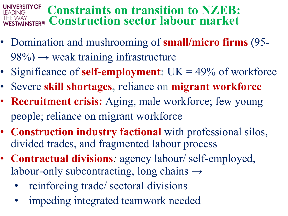### **Constraints on transition to NZEB: Construction sector labour market**

- Domination and mushrooming of **small/micro firms** (95-  $98\%) \rightarrow$  weak training infrastructure
- Significance of **self-employment:** UK = 49% of workforce
- Severe **skill shortages, r**eliance on **migrant workforce**
- **Recruitment crisis:** Aging, male workforce; few young people; reliance on migrant workforce
- **Construction industry factional** with professional silos, divided trades, and fragmented labour process
- **Contractual divisions***:* agency labour/ self-employed, labour-only subcontracting, long chains  $\rightarrow$ 
	- reinforcing trade/ sectoral divisions
	- impeding integrated teamwork needed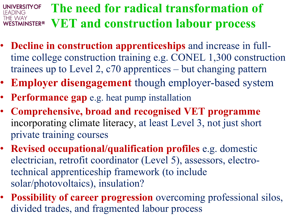#### **The need for radical transformation of UNIVERSITY OF** FADING ihe way **VET and construction labour process STMINSTER<sup>#1</sup>**

- **Decline in construction apprenticeships** and increase in fulltime college construction training e.g. CONEL 1,300 construction trainees up to Level 2, c70 apprentices – but changing pattern
- **Employer disengagement** though employer-based system
- **Performance gap** e.g. heat pump installation
- **Comprehensive, broad and recognised VET programme**  incorporating climate literacy, at least Level 3, not just short private training courses
- **Revised occupational/qualification profiles** e.g. domestic electrician, retrofit coordinator (Level 5), assessors, electrotechnical apprenticeship framework (to include solar/photovoltaics), insulation?
- **Possibility of career progression** overcoming professional silos, divided trades, and fragmented labour process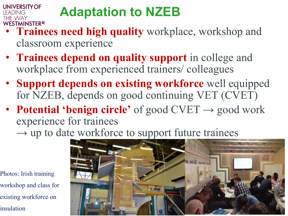# **Adaptation to NZEB**

- **Trainees need high quality** workplace, workshop and classroom experience
- **Trainees depend on quality support** in college and workplace from experienced trainers/ colleagues
- **Support depends on existing workforce** well equipped for NZEB, depends on good continuing VET (CVET)
- **Potential 'benign circle'** of good  $\text{CVET} \rightarrow \text{good work}$ experience for trainees
	- $\rightarrow$  up to date workforce to support future trainees

Photos: Irish training workshop and class for existing workforce on insulation

**UNIVERSITY OF** 

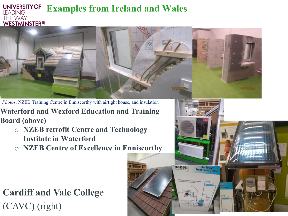#### **UNIVERSITY OF Examples from Ireland and Wales LEADING** THE WAY **WESTMINSTER**<sup>#</sup>



*Photos*: NZEB Training Centre in Enniscorthy with airtight house, and insulation

**Waterford and Wexford Education and Training Board (above)**

- o **NZEB retrofit Centre and Technology Institute in Waterford**
- o **NZEB Centre of Excellence in Enniscorthy**

## **Cardiff and Vale Colleg**e (CAVC) (right)

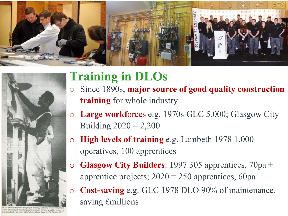



med job training programmes can become a reality. Above: a training display given by GLC direct labour force, 1976. Picture: GLC.

# **Training in DLOs**

- o Since 1890s, **major source of good quality construction training** for whole industry
- o **Large workf**orces e.g. 1970s GLC 5,000; Glasgow City Building  $2020 = 2,200$
- o **High levels of training** e.g. Lambeth 1978 1,000 operatives, 100 apprentices
- o **Glasgow City Builders**: 1997 305 apprentices, 70pa + apprentice projects;  $2020 = 250$  apprentices, 60pa
	- **Cost-saving** e.g. GLC 1978 DLO 90% of maintenance, saving £millions